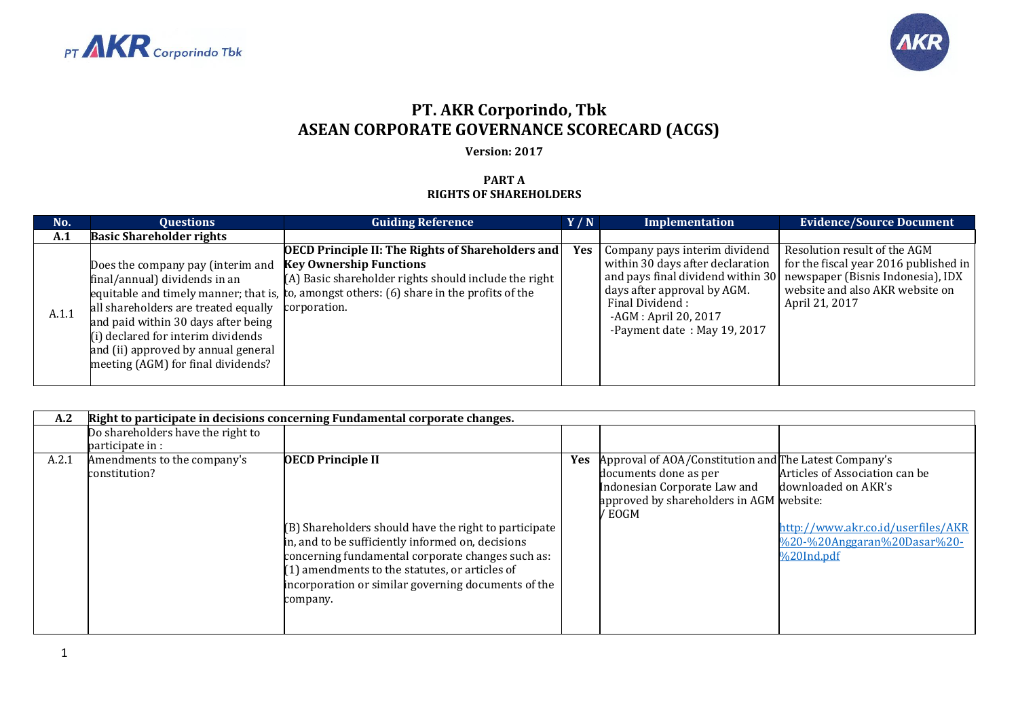



## **PT. AKR Corporindo, Tbk ASEAN CORPORATE GOVERNANCE SCORECARD (ACGS)**

## **Version: 2017**

## **PART A RIGHTS OF SHAREHOLDERS**

| No.   | <b>Ouestions</b>                                                                                                                                                                                                                                                                  | <b>Guiding Reference</b>                                                                                                                                                                                                                         | Y/N        | Implementation                                                                                                                                                              | <b>Evidence/Source Document</b>                                                                                                                                                                   |
|-------|-----------------------------------------------------------------------------------------------------------------------------------------------------------------------------------------------------------------------------------------------------------------------------------|--------------------------------------------------------------------------------------------------------------------------------------------------------------------------------------------------------------------------------------------------|------------|-----------------------------------------------------------------------------------------------------------------------------------------------------------------------------|---------------------------------------------------------------------------------------------------------------------------------------------------------------------------------------------------|
| A.1   | <b>Basic Shareholder rights</b>                                                                                                                                                                                                                                                   |                                                                                                                                                                                                                                                  |            |                                                                                                                                                                             |                                                                                                                                                                                                   |
| A.1.1 | Does the company pay (interim and<br>final/annual) dividends in an<br>all shareholders are treated equally corporation.<br>and paid within 30 days after being<br>(i) declared for interim dividends<br>and (ii) approved by annual general<br>meeting (AGM) for final dividends? | <b>OECD Principle II: The Rights of Shareholders and</b><br><b>Key Ownership Functions</b><br>(A) Basic shareholder rights should include the right<br>equitable and timely manner; that is, to, amongst others: (6) share in the profits of the | <b>Yes</b> | Company pays interim dividend<br>within 30 days after declaration<br>days after approval by AGM.<br>Final Dividend:<br>-AGM : April 20, 2017<br>-Payment date: May 19, 2017 | Resolution result of the AGM<br>for the fiscal year 2016 published in<br>and pays final dividend within 30 newspaper (Bisnis Indonesia), IDX<br>website and also AKR website on<br>April 21, 2017 |

| A.2   |                                                       | Right to participate in decisions concerning Fundamental corporate changes.                                                                                                                                                                                                                                      |            |                                                                                                                                                                      |                                                                                                                                          |
|-------|-------------------------------------------------------|------------------------------------------------------------------------------------------------------------------------------------------------------------------------------------------------------------------------------------------------------------------------------------------------------------------|------------|----------------------------------------------------------------------------------------------------------------------------------------------------------------------|------------------------------------------------------------------------------------------------------------------------------------------|
|       | Do shareholders have the right to<br>participate in : |                                                                                                                                                                                                                                                                                                                  |            |                                                                                                                                                                      |                                                                                                                                          |
| A.2.1 | Amendments to the company's<br>constitution?          | <b>OECD Principle II</b><br>(B) Shareholders should have the right to participate<br>in, and to be sufficiently informed on, decisions<br>concerning fundamental corporate changes such as:<br>(1) amendments to the statutes, or articles of<br>incorporation or similar governing documents of the<br>company. | <b>Yes</b> | Approval of AOA/Constitution and The Latest Company's<br>documents done as per<br>Indonesian Corporate Law and<br>approved by shareholders in AGM website:<br>/ EOGM | Articles of Association can be<br>downloaded on AKR's<br>http://www.akr.co.id/userfiles/AKR<br>%20-%20Anggaran%20Dasar%20-<br>%20Ind.pdf |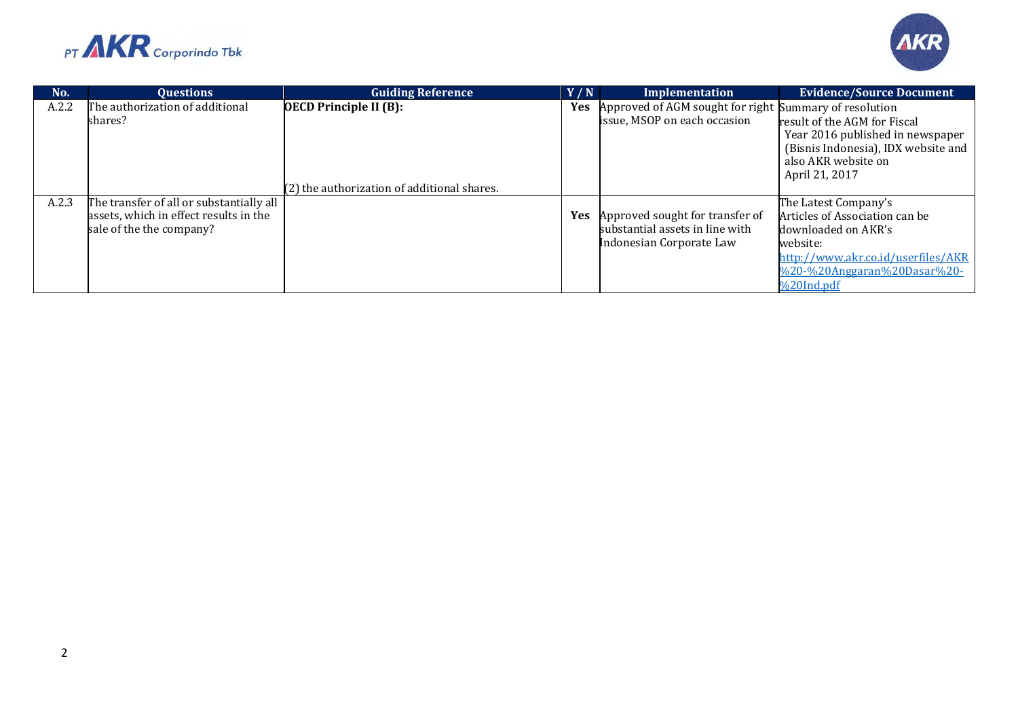



| No.   | <b>Ouestions</b>                         | <b>Guiding Reference</b>                    | Y/N        | Implementation                                         | <b>Evidence/Source Document</b>     |
|-------|------------------------------------------|---------------------------------------------|------------|--------------------------------------------------------|-------------------------------------|
| A.2.2 | The authorization of additional          | <b>OECD Principle II (B):</b>               | <b>Yes</b> | Approved of AGM sought for right Summary of resolution |                                     |
|       | shares?                                  |                                             |            | issue, MSOP on each occasion                           | result of the AGM for Fiscal        |
|       |                                          |                                             |            |                                                        | Year 2016 published in newspaper    |
|       |                                          |                                             |            |                                                        | (Bisnis Indonesia), IDX website and |
|       |                                          |                                             |            |                                                        | also AKR website on                 |
|       |                                          |                                             |            |                                                        | April 21, 2017                      |
|       |                                          | (2) the authorization of additional shares. |            |                                                        |                                     |
| A.2.3 | The transfer of all or substantially all |                                             |            |                                                        | The Latest Company's                |
|       | assets, which in effect results in the   |                                             |            | <b>Yes</b> Approved sought for transfer of             | Articles of Association can be      |
|       | sale of the the company?                 |                                             |            | substantial assets in line with                        | downloaded on AKR's                 |
|       |                                          |                                             |            | Indonesian Corporate Law                               | website:                            |
|       |                                          |                                             |            |                                                        | http://www.akr.co.id/userfiles/AKR  |
|       |                                          |                                             |            |                                                        | %20-%20Anggaran%20Dasar%20-         |
|       |                                          |                                             |            |                                                        | %20Ind.pdf                          |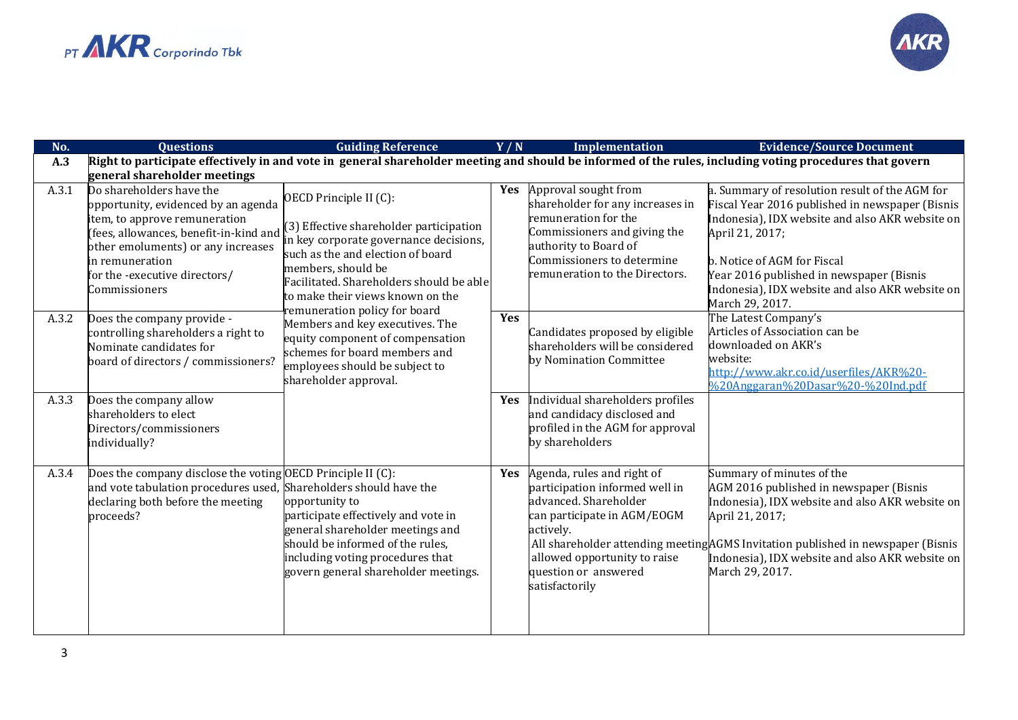

| No.   | <b>Ouestions</b>                                                                                                                                                                                                                                      | <b>Guiding Reference</b>                                                                                                                                                                                                                                                                | Y/N        | Implementation                                                                                                                                                                                                | <b>Evidence/Source Document</b>                                                                                                                                                                                                                                                                                          |
|-------|-------------------------------------------------------------------------------------------------------------------------------------------------------------------------------------------------------------------------------------------------------|-----------------------------------------------------------------------------------------------------------------------------------------------------------------------------------------------------------------------------------------------------------------------------------------|------------|---------------------------------------------------------------------------------------------------------------------------------------------------------------------------------------------------------------|--------------------------------------------------------------------------------------------------------------------------------------------------------------------------------------------------------------------------------------------------------------------------------------------------------------------------|
| A.3   |                                                                                                                                                                                                                                                       |                                                                                                                                                                                                                                                                                         |            |                                                                                                                                                                                                               | Right to participate effectively in and vote in general shareholder meeting and should be informed of the rules, including voting procedures that govern                                                                                                                                                                 |
|       | general shareholder meetings                                                                                                                                                                                                                          |                                                                                                                                                                                                                                                                                         |            |                                                                                                                                                                                                               |                                                                                                                                                                                                                                                                                                                          |
| A.3.1 | Do shareholders have the<br>opportunity, evidenced by an agenda<br>item, to approve remuneration<br>(fees, allowances, benefit-in-kind and<br>other emoluments) or any increases<br>in remuneration<br>for the -executive directors/<br>Commissioners | OECD Principle II (C):<br>(3) Effective shareholder participation<br>in key corporate governance decisions,<br>such as the and election of board<br>members, should be<br>Facilitated. Shareholders should be able<br>to make their views known on the<br>remuneration policy for board |            | Yes Approval sought from<br>shareholder for any increases in<br>remuneration for the<br>Commissioners and giving the<br>authority to Board of<br>Commissioners to determine<br>remuneration to the Directors. | a. Summary of resolution result of the AGM for<br>Fiscal Year 2016 published in newspaper (Bisnis<br>Indonesia), IDX website and also AKR website on<br>April 21, 2017;<br>b. Notice of AGM for Fiscal<br>Year 2016 published in newspaper (Bisnis<br>Indonesia), IDX website and also AKR website on<br>March 29, 2017. |
| A.3.2 | Does the company provide -<br>controlling shareholders a right to<br>Nominate candidates for<br>board of directors / commissioners?                                                                                                                   | Members and key executives. The<br>equity component of compensation<br>schemes for board members and<br>employees should be subject to<br>shareholder approval.                                                                                                                         | Yes        | Candidates proposed by eligible<br>shareholders will be considered<br>by Nomination Committee                                                                                                                 | The Latest Company's<br>Articles of Association can be<br>downloaded on AKR's<br>website:<br>http://www.akr.co.id/userfiles/AKR%20-<br>%20Anggaran%20Dasar%20-%20Ind.pdf                                                                                                                                                 |
| A.3.3 | Does the company allow<br>shareholders to elect<br>Directors/commissioners<br>individually?                                                                                                                                                           |                                                                                                                                                                                                                                                                                         | Yes        | Individual shareholders profiles<br>and candidacy disclosed and<br>profiled in the AGM for approval<br>by shareholders                                                                                        |                                                                                                                                                                                                                                                                                                                          |
| A.3.4 | Does the company disclose the voting OECD Principle II (C):<br>and vote tabulation procedures used, Shareholders should have the<br>declaring both before the meeting<br>proceeds?                                                                    | opportunity to<br>participate effectively and vote in<br>general shareholder meetings and<br>should be informed of the rules,<br>including voting procedures that<br>govern general shareholder meetings.                                                                               | <b>Yes</b> | Agenda, rules and right of<br>participation informed well in<br>advanced. Shareholder<br>can participate in AGM/EOGM<br>actively.<br>allowed opportunity to raise<br>question or answered<br>satisfactorily   | Summary of minutes of the<br>AGM 2016 published in newspaper (Bisnis<br>Indonesia), IDX website and also AKR website on<br>April 21, 2017;<br>All shareholder attending meeting AGMS Invitation published in newspaper (Bisnis<br>Indonesia), IDX website and also AKR website on<br>March 29, 2017.                     |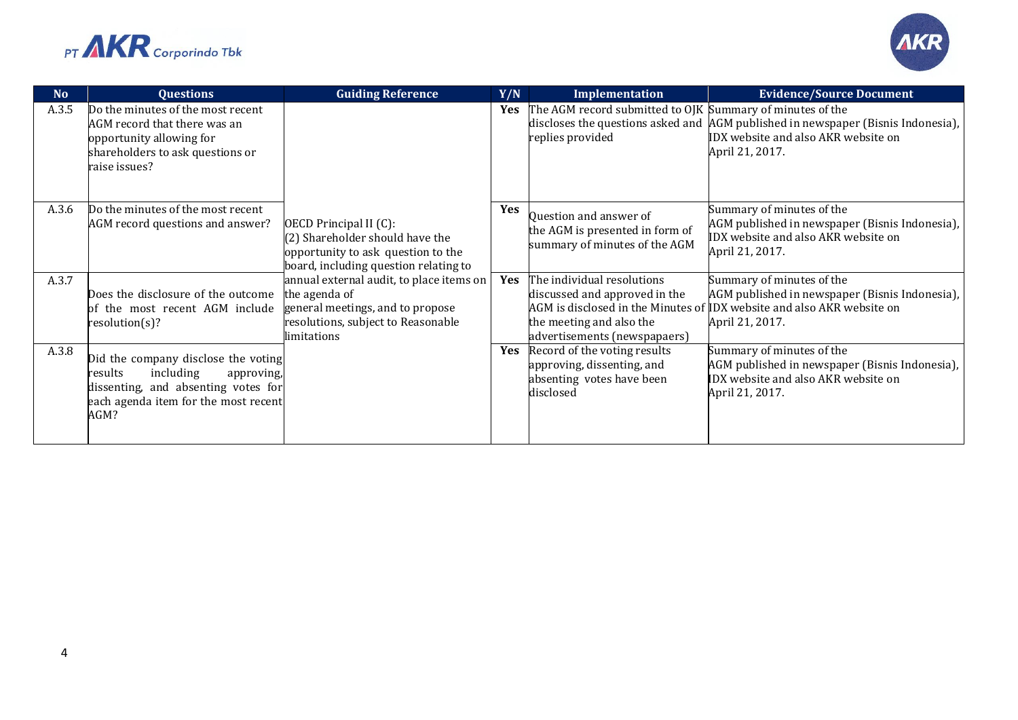



| N <sub>0</sub> | <b>Questions</b>                                                                                                                                                 | <b>Guiding Reference</b>                                                                                                                           | Y/N        | Implementation                                                                                                          | <b>Evidence/Source Document</b>                                                                                                                                          |
|----------------|------------------------------------------------------------------------------------------------------------------------------------------------------------------|----------------------------------------------------------------------------------------------------------------------------------------------------|------------|-------------------------------------------------------------------------------------------------------------------------|--------------------------------------------------------------------------------------------------------------------------------------------------------------------------|
| A.3.5          | Do the minutes of the most recent<br>AGM record that there was an<br>opportunity allowing for<br>shareholders to ask questions or<br>raise issues?               |                                                                                                                                                    | <b>Yes</b> | The AGM record submitted to OJK Summary of minutes of the<br>replies provided                                           | discloses the questions asked and AGM published in newspaper (Bisnis Indonesia),<br>IDX website and also AKR website on<br>April 21, 2017.                               |
| A.3.6          | Do the minutes of the most recent<br>AGM record questions and answer?                                                                                            | OECD Principal II (C):<br>(2) Shareholder should have the<br>opportunity to ask question to the<br>board, including question relating to           | <b>Yes</b> | Question and answer of<br>the AGM is presented in form of<br>summary of minutes of the AGM                              | Summary of minutes of the<br>AGM published in newspaper (Bisnis Indonesia),<br>IDX website and also AKR website on<br>April 21, 2017.                                    |
| A.3.7          | Does the disclosure of the outcome<br>of the most recent AGM include<br>resolution(s)?                                                                           | annual external audit, to place items on<br>the agenda of<br>general meetings, and to propose<br>resolutions, subject to Reasonable<br>limitations | Yes        | The individual resolutions<br>discussed and approved in the<br>the meeting and also the<br>advertisements (newspapaers) | Summary of minutes of the<br>AGM published in newspaper (Bisnis Indonesia),<br>AGM is disclosed in the Minutes of IDX website and also AKR website on<br>April 21, 2017. |
| A.3.8          | Did the company disclose the voting<br>including<br>results<br>approving,<br>dissenting, and absenting votes for<br>each agenda item for the most recent<br>AGM? |                                                                                                                                                    | <b>Yes</b> | Record of the voting results<br>approving, dissenting, and<br>absenting votes have been<br>disclosed                    | Summary of minutes of the<br>AGM published in newspaper (Bisnis Indonesia),<br>IDX website and also AKR website on<br>April 21, 2017.                                    |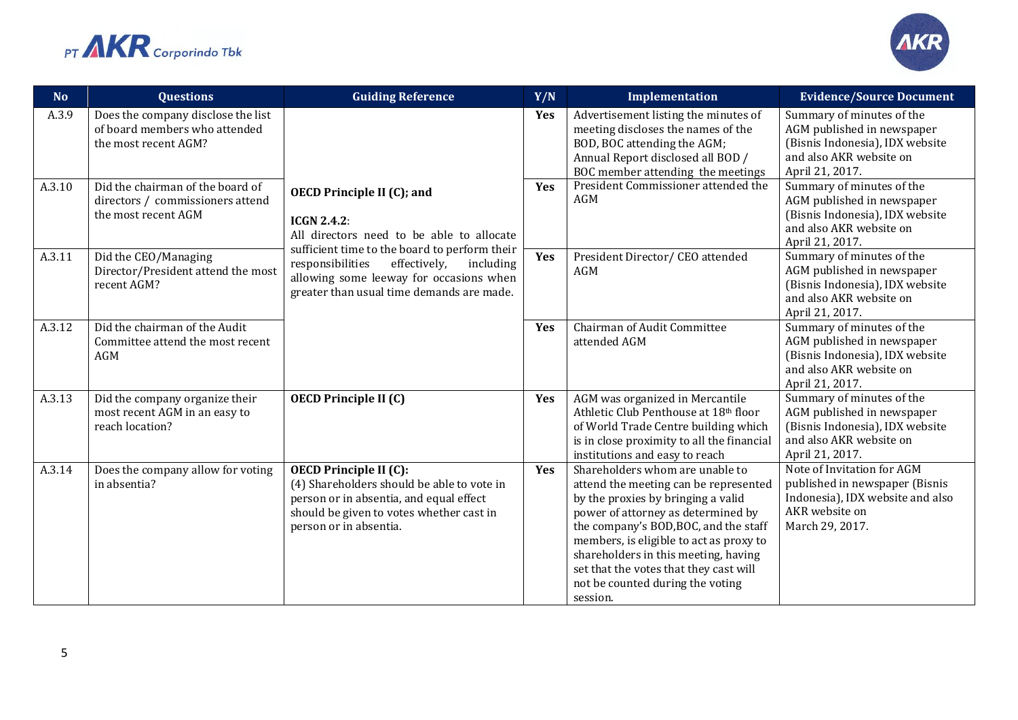



| <b>No</b> | <b>Questions</b>                                                                            | <b>Guiding Reference</b>                                                                                                                                                                     | Y/N | Implementation                                                                                                                                                                                                                                                                                                                                                             | <b>Evidence/Source Document</b>                                                                                                          |
|-----------|---------------------------------------------------------------------------------------------|----------------------------------------------------------------------------------------------------------------------------------------------------------------------------------------------|-----|----------------------------------------------------------------------------------------------------------------------------------------------------------------------------------------------------------------------------------------------------------------------------------------------------------------------------------------------------------------------------|------------------------------------------------------------------------------------------------------------------------------------------|
| A.3.9     | Does the company disclose the list<br>of board members who attended<br>the most recent AGM? |                                                                                                                                                                                              | Yes | Advertisement listing the minutes of<br>meeting discloses the names of the<br>BOD, BOC attending the AGM;<br>Annual Report disclosed all BOD /<br>BOC member attending the meetings                                                                                                                                                                                        | Summary of minutes of the<br>AGM published in newspaper<br>(Bisnis Indonesia), IDX website<br>and also AKR website on<br>April 21, 2017. |
| A.3.10    | Did the chairman of the board of<br>directors / commissioners attend<br>the most recent AGM | <b>OECD Principle II (C); and</b><br><b>ICGN 2.4.2:</b><br>All directors need to be able to allocate                                                                                         | Yes | President Commissioner attended the<br>AGM                                                                                                                                                                                                                                                                                                                                 | Summary of minutes of the<br>AGM published in newspaper<br>(Bisnis Indonesia), IDX website<br>and also AKR website on<br>April 21, 2017. |
| A.3.11    | Did the CEO/Managing<br>Director/President attend the most<br>recent AGM?                   | sufficient time to the board to perform their<br>including<br>responsibilities<br>effectively,<br>allowing some leeway for occasions when<br>greater than usual time demands are made.       | Yes | President Director/ CEO attended<br>AGM                                                                                                                                                                                                                                                                                                                                    | Summary of minutes of the<br>AGM published in newspaper<br>(Bisnis Indonesia), IDX website<br>and also AKR website on<br>April 21, 2017. |
| A.3.12    | Did the chairman of the Audit<br>Committee attend the most recent<br>AGM                    |                                                                                                                                                                                              | Yes | Chairman of Audit Committee<br>attended AGM                                                                                                                                                                                                                                                                                                                                | Summary of minutes of the<br>AGM published in newspaper<br>(Bisnis Indonesia), IDX website<br>and also AKR website on<br>April 21, 2017. |
| A.3.13    | Did the company organize their<br>most recent AGM in an easy to<br>reach location?          | <b>OECD Principle II (C)</b>                                                                                                                                                                 | Yes | AGM was organized in Mercantile<br>Athletic Club Penthouse at 18th floor<br>of World Trade Centre building which<br>is in close proximity to all the financial<br>institutions and easy to reach                                                                                                                                                                           | Summary of minutes of the<br>AGM published in newspaper<br>(Bisnis Indonesia), IDX website<br>and also AKR website on<br>April 21, 2017. |
| A.3.14    | Does the company allow for voting<br>in absentia?                                           | <b>OECD Principle II (C):</b><br>(4) Shareholders should be able to vote in<br>person or in absentia, and equal effect<br>should be given to votes whether cast in<br>person or in absentia. | Yes | Shareholders whom are unable to<br>attend the meeting can be represented<br>by the proxies by bringing a valid<br>power of attorney as determined by<br>the company's BOD, BOC, and the staff<br>members, is eligible to act as proxy to<br>shareholders in this meeting, having<br>set that the votes that they cast will<br>not be counted during the voting<br>session. | Note of Invitation for AGM<br>published in newspaper (Bisnis<br>Indonesia), IDX website and also<br>AKR website on<br>March 29, 2017.    |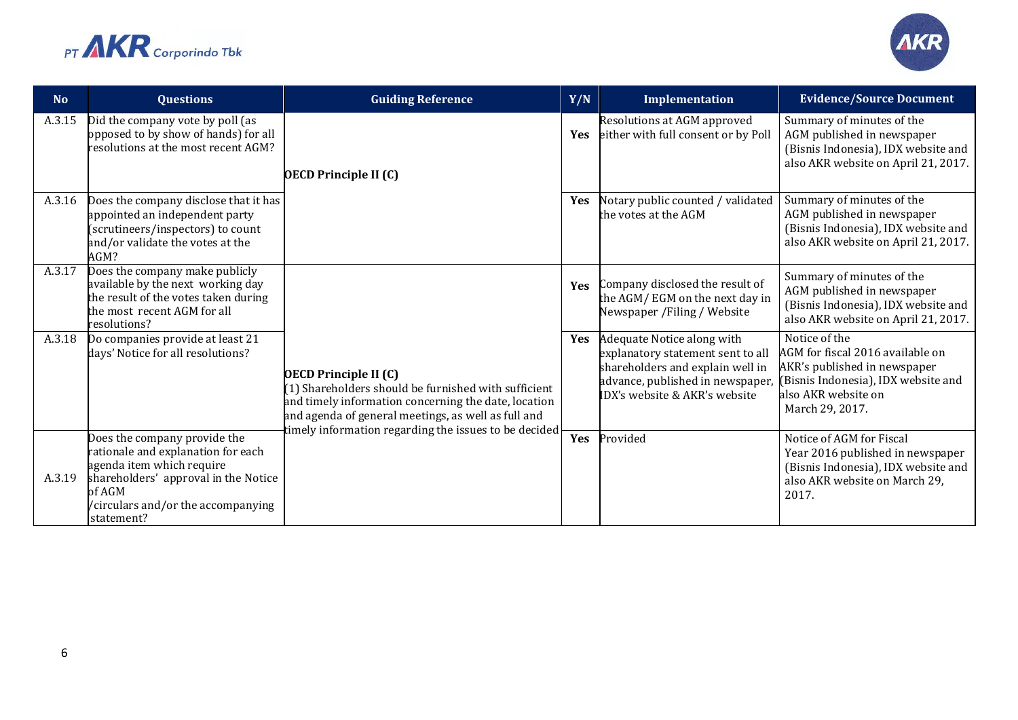



| <b>No</b> | <b>Questions</b>                                                                                                                                                                                      | <b>Guiding Reference</b>                                                                                                                                                                                                                                       | Y/N        | Implementation                                                                                                                                                           | <b>Evidence/Source Document</b>                                                                                                                                    |
|-----------|-------------------------------------------------------------------------------------------------------------------------------------------------------------------------------------------------------|----------------------------------------------------------------------------------------------------------------------------------------------------------------------------------------------------------------------------------------------------------------|------------|--------------------------------------------------------------------------------------------------------------------------------------------------------------------------|--------------------------------------------------------------------------------------------------------------------------------------------------------------------|
| A.3.15    | Did the company vote by poll (as<br>opposed to by show of hands) for all<br>resolutions at the most recent AGM?                                                                                       | <b>OECD Principle II (C)</b>                                                                                                                                                                                                                                   | <b>Yes</b> | Resolutions at AGM approved<br>either with full consent or by Poll                                                                                                       | Summary of minutes of the<br>AGM published in newspaper<br>(Bisnis Indonesia), IDX website and<br>also AKR website on April 21, 2017.                              |
| A.3.16    | Does the company disclose that it has<br>appointed an independent party<br>(scrutineers/inspectors) to count<br>and/or validate the votes at the<br>AGM?                                              |                                                                                                                                                                                                                                                                |            | Notary public counted / validated<br>the votes at the AGM                                                                                                                | Summary of minutes of the<br>AGM published in newspaper<br>(Bisnis Indonesia), IDX website and<br>also AKR website on April 21, 2017.                              |
| A.3.17    | Does the company make publicly<br>available by the next working day<br>the result of the votes taken during<br>the most recent AGM for all<br>resolutions?                                            |                                                                                                                                                                                                                                                                | <b>Yes</b> | Company disclosed the result of<br>the AGM/EGM on the next day in<br>Newspaper / Filing / Website                                                                        | Summary of minutes of the<br>AGM published in newspaper<br>(Bisnis Indonesia), IDX website and<br>also AKR website on April 21, 2017.                              |
| A.3.18    | Do companies provide at least 21<br>days' Notice for all resolutions?                                                                                                                                 | <b>OECD Principle II (C)</b><br>$(1)$ Shareholders should be furnished with sufficient<br>and timely information concerning the date, location<br>and agenda of general meetings, as well as full and<br>timely information regarding the issues to be decided | <b>Yes</b> | Adequate Notice along with<br>explanatory statement sent to all<br>shareholders and explain well in<br>advance, published in newspaper,<br>IDX's website & AKR's website | Notice of the<br>AGM for fiscal 2016 available on<br>AKR's published in newspaper<br>(Bisnis Indonesia), IDX website and<br>also AKR website on<br>March 29, 2017. |
| A.3.19    | Does the company provide the<br>rationale and explanation for each<br>agenda item which require<br>shareholders' approval in the Notice<br>of AGM<br>/circulars and/or the accompanying<br>statement? |                                                                                                                                                                                                                                                                | Yes        | Provided                                                                                                                                                                 | Notice of AGM for Fiscal<br>Year 2016 published in newspaper<br>(Bisnis Indonesia), IDX website and<br>also AKR website on March 29,<br>2017.                      |